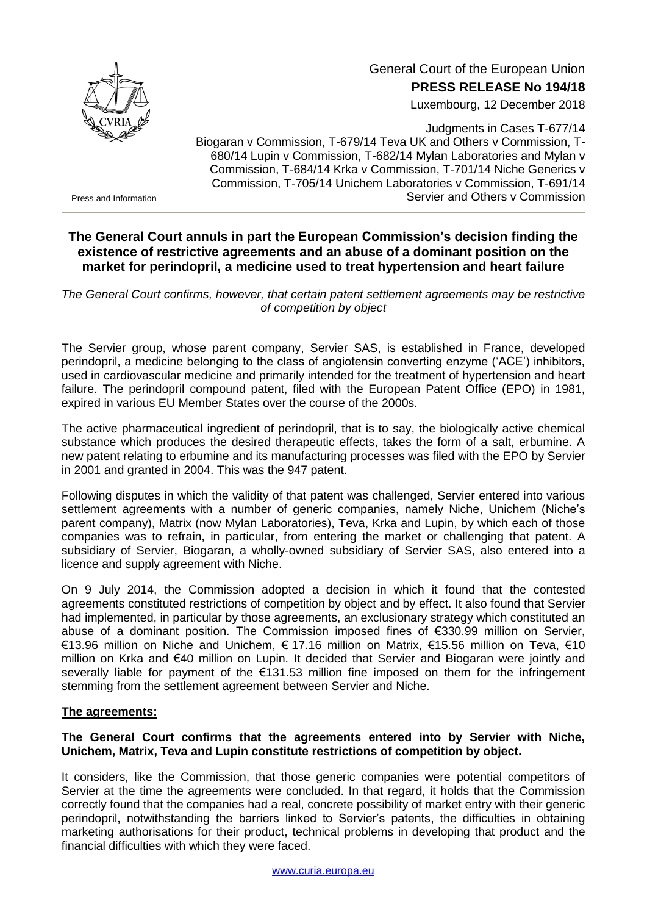

# General Court of the European Union **PRESS RELEASE No 194/18**

Luxembourg, 12 December 2018

Judgments in Cases T-677/14 Biogaran v Commission, T-679/14 Teva UK and Others v Commission, T-680/14 Lupin v Commission, T-682/14 Mylan Laboratories and Mylan v Commission, T-684/14 Krka v Commission, T-701/14 Niche Generics v Commission, T-705/14 Unichem Laboratories v Commission, T-691/14 Servier and Others v Commission

Press and Information

# **The General Court annuls in part the European Commission's decision finding the existence of restrictive agreements and an abuse of a dominant position on the market for perindopril, a medicine used to treat hypertension and heart failure**

*The General Court confirms, however, that certain patent settlement agreements may be restrictive of competition by object*

The Servier group, whose parent company, Servier SAS, is established in France, developed perindopril, a medicine belonging to the class of angiotensin converting enzyme ('ACE') inhibitors, used in cardiovascular medicine and primarily intended for the treatment of hypertension and heart failure. The perindopril compound patent, filed with the European Patent Office (EPO) in 1981, expired in various EU Member States over the course of the 2000s.

The active pharmaceutical ingredient of perindopril, that is to say, the biologically active chemical substance which produces the desired therapeutic effects, takes the form of a salt, erbumine. A new patent relating to erbumine and its manufacturing processes was filed with the EPO by Servier in 2001 and granted in 2004. This was the 947 patent.

Following disputes in which the validity of that patent was challenged, Servier entered into various settlement agreements with a number of generic companies, namely Niche, Unichem (Niche's parent company), Matrix (now Mylan Laboratories), Teva, Krka and Lupin, by which each of those companies was to refrain, in particular, from entering the market or challenging that patent. A subsidiary of Servier, Biogaran, a wholly-owned subsidiary of Servier SAS, also entered into a licence and supply agreement with Niche.

On 9 July 2014, the Commission adopted a decision in which it found that the contested agreements constituted restrictions of competition by object and by effect. It also found that Servier had implemented, in particular by those agreements, an exclusionary strategy which constituted an abuse of a dominant position. The Commission imposed fines of €330.99 million on Servier, €13.96 million on Niche and Unichem, € 17.16 million on Matrix, €15.56 million on Teva, €10 million on Krka and €40 million on Lupin. It decided that Servier and Biogaran were jointly and severally liable for payment of the €131.53 million fine imposed on them for the infringement stemming from the settlement agreement between Servier and Niche.

### **The agreements:**

## **The General Court confirms that the agreements entered into by Servier with Niche, Unichem, Matrix, Teva and Lupin constitute restrictions of competition by object.**

It considers, like the Commission, that those generic companies were potential competitors of Servier at the time the agreements were concluded. In that regard, it holds that the Commission correctly found that the companies had a real, concrete possibility of market entry with their generic perindopril, notwithstanding the barriers linked to Servier's patents, the difficulties in obtaining marketing authorisations for their product, technical problems in developing that product and the financial difficulties with which they were faced.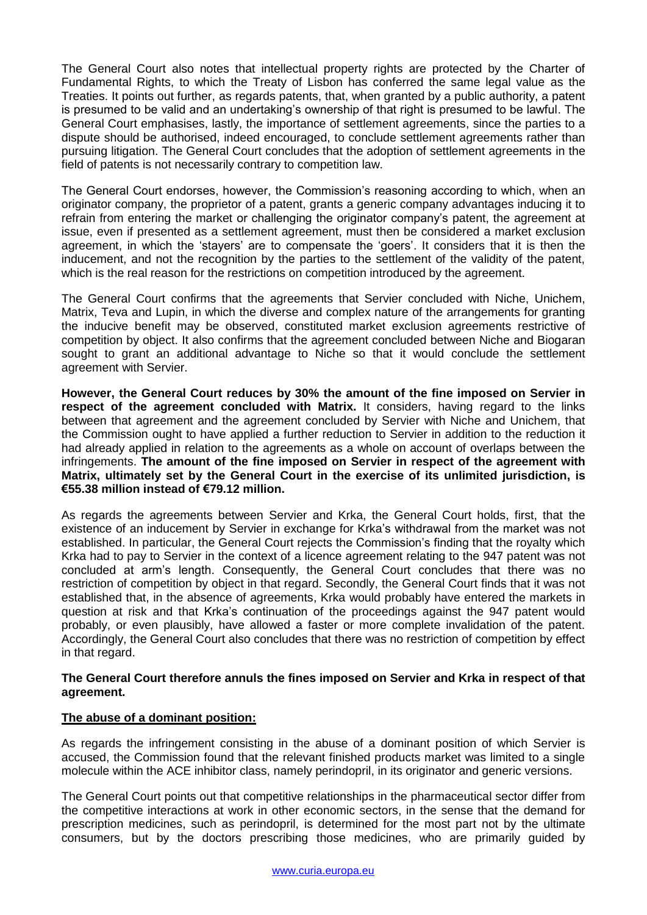The General Court also notes that intellectual property rights are protected by the Charter of Fundamental Rights, to which the Treaty of Lisbon has conferred the same legal value as the Treaties. It points out further, as regards patents, that, when granted by a public authority, a patent is presumed to be valid and an undertaking's ownership of that right is presumed to be lawful. The General Court emphasises, lastly, the importance of settlement agreements, since the parties to a dispute should be authorised, indeed encouraged, to conclude settlement agreements rather than pursuing litigation. The General Court concludes that the adoption of settlement agreements in the field of patents is not necessarily contrary to competition law.

The General Court endorses, however, the Commission's reasoning according to which, when an originator company, the proprietor of a patent, grants a generic company advantages inducing it to refrain from entering the market or challenging the originator company's patent, the agreement at issue, even if presented as a settlement agreement, must then be considered a market exclusion agreement, in which the 'stayers' are to compensate the 'goers'. It considers that it is then the inducement, and not the recognition by the parties to the settlement of the validity of the patent, which is the real reason for the restrictions on competition introduced by the agreement.

The General Court confirms that the agreements that Servier concluded with Niche, Unichem, Matrix, Teva and Lupin, in which the diverse and complex nature of the arrangements for granting the inducive benefit may be observed, constituted market exclusion agreements restrictive of competition by object. It also confirms that the agreement concluded between Niche and Biogaran sought to grant an additional advantage to Niche so that it would conclude the settlement agreement with Servier.

**However, the General Court reduces by 30% the amount of the fine imposed on Servier in respect of the agreement concluded with Matrix.** It considers, having regard to the links between that agreement and the agreement concluded by Servier with Niche and Unichem, that the Commission ought to have applied a further reduction to Servier in addition to the reduction it had already applied in relation to the agreements as a whole on account of overlaps between the infringements. **The amount of the fine imposed on Servier in respect of the agreement with Matrix, ultimately set by the General Court in the exercise of its unlimited jurisdiction, is €55.38 million instead of €79.12 million.**

As regards the agreements between Servier and Krka, the General Court holds, first, that the existence of an inducement by Servier in exchange for Krka's withdrawal from the market was not established. In particular, the General Court rejects the Commission's finding that the royalty which Krka had to pay to Servier in the context of a licence agreement relating to the 947 patent was not concluded at arm's length. Consequently, the General Court concludes that there was no restriction of competition by object in that regard. Secondly, the General Court finds that it was not established that, in the absence of agreements, Krka would probably have entered the markets in question at risk and that Krka's continuation of the proceedings against the 947 patent would probably, or even plausibly, have allowed a faster or more complete invalidation of the patent. Accordingly, the General Court also concludes that there was no restriction of competition by effect in that regard.

#### **The General Court therefore annuls the fines imposed on Servier and Krka in respect of that agreement.**

### **The abuse of a dominant position:**

As regards the infringement consisting in the abuse of a dominant position of which Servier is accused, the Commission found that the relevant finished products market was limited to a single molecule within the ACE inhibitor class, namely perindopril, in its originator and generic versions.

The General Court points out that competitive relationships in the pharmaceutical sector differ from the competitive interactions at work in other economic sectors, in the sense that the demand for prescription medicines, such as perindopril, is determined for the most part not by the ultimate consumers, but by the doctors prescribing those medicines, who are primarily guided by